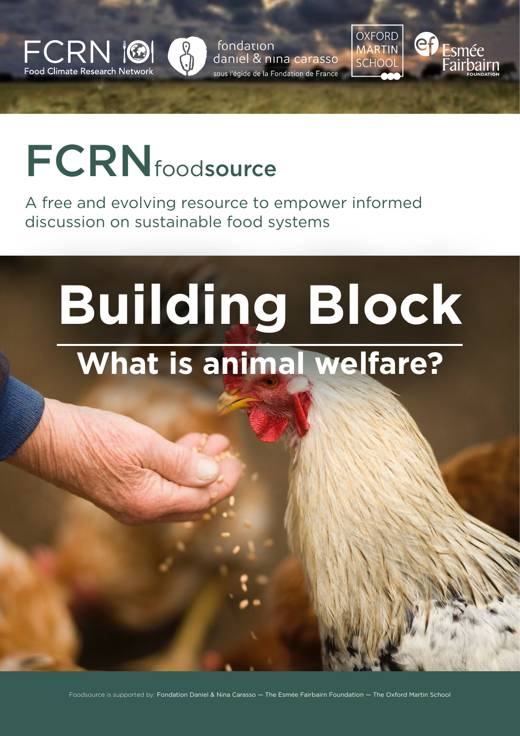

fondation daniel & nina carasso sous l'égide de la Fondation de France OXFORD<br>MARTIN **SCHOOL** 



## **FCRN**foodsource

[A free and evolving resource to empower informed](http://fcrn.org.uk)  discussion on sustainable food systems

# **Building Block What is animal welfare?**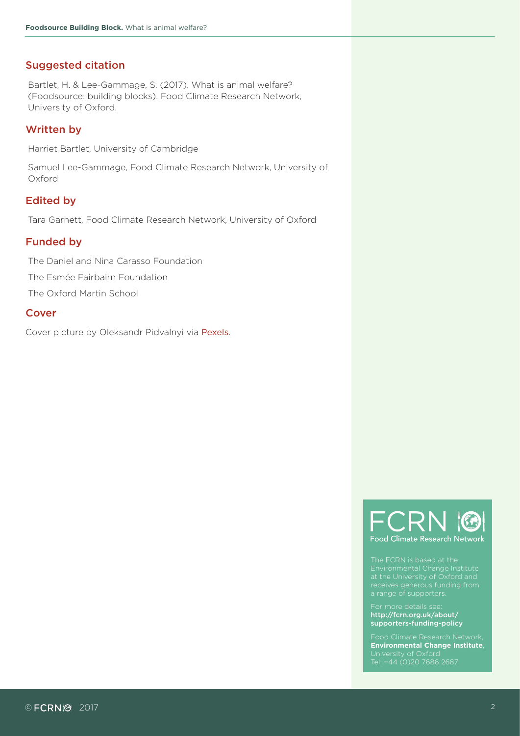#### Suggested citation

Bartlet, H. & Lee-Gammage, S. (2017). What is animal welfare? (Foodsource: building blocks). Food Climate Research Network, University of Oxford.

#### Written by

Harriet Bartlet, University of Cambridge

Samuel Lee-Gammage, Food Climate Research Network, University of Oxford

#### Edited by

Tara Garnett, Food Climate Research Network, University of Oxford

#### Funded by

The Daniel and Nina Carasso Foundation The Esmée Fairbairn Foundation

The Oxford Martin School

#### Cover

Cover picture by Oleksandr Pidvalnyi via [Pexels](https://www.pexels.com/photo/animal-chicken-cockerel-countryside-375510/).



Environmental Change Institute

[http://fcrn.org.uk/about/](http://fcrn.org.uk/about/supporters-funding-policy) [supporters-funding-policy](http://fcrn.org.uk/about/supporters-funding-policy)

**[Environmental Change Institute](https://www.eci.ox.ac.uk/)**, Tel: +44 (0)20 7686 2687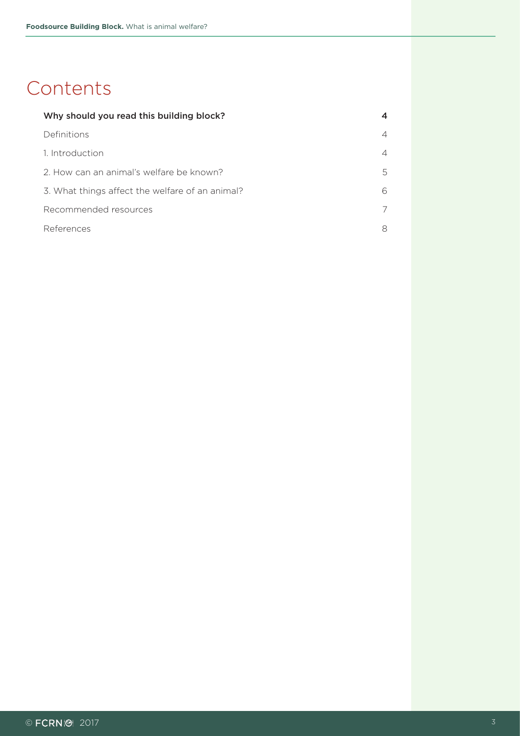#### <span id="page-2-0"></span>**Contents**

| Why should you read this building block?        | 4 |
|-------------------------------------------------|---|
| Definitions                                     | 4 |
| 1. Introduction                                 | 4 |
| 2. How can an animal's welfare be known?        | 5 |
| 3. What things affect the welfare of an animal? | 6 |
| Recommended resources                           | 7 |
| References                                      | 8 |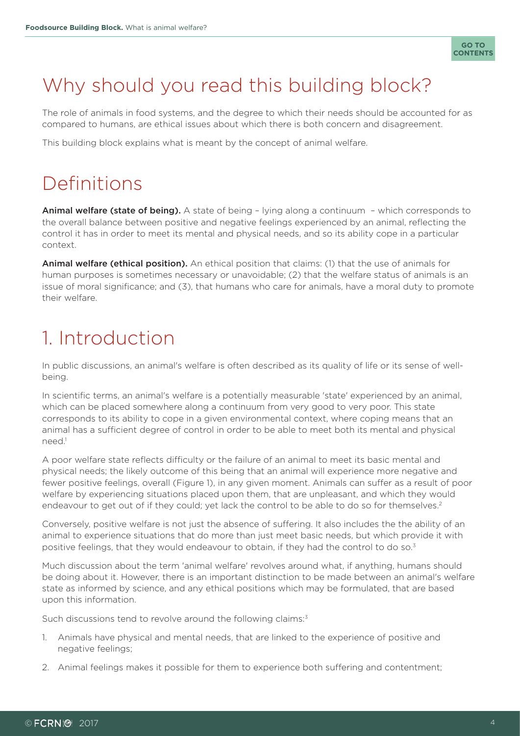

## <span id="page-3-0"></span>Why should you read this building block?

The role of animals in food systems, and the degree to which their needs should be accounted for as compared to humans, are ethical issues about which there is both concern and disagreement.

This building block explains what is meant by the concept of animal welfare.

## Definitions

Animal welfare (state of being). A state of being - lying along a continuum - which corresponds to the overall balance between positive and negative feelings experienced by an animal, reflecting the control it has in order to meet its mental and physical needs, and so its ability cope in a particular context.

Animal welfare (ethical position). An ethical position that claims: (1) that the use of animals for human purposes is sometimes necessary or unavoidable; (2) that the welfare status of animals is an issue of moral significance; and (3), that humans who care for animals, have a moral duty to promote their welfare.

## 1. Introduction

In public discussions, an animal's welfare is often described as its quality of life or its sense of wellbeing.

In scientific terms, an animal's welfare is a potentially measurable 'state' experienced by an animal, which can be placed somewhere along a continuum from very good to very poor. This state corresponds to its ability to cope in a given environmental context, where coping means that an animal has a sufficient degree of control in order to be able to meet both its mental and physical need.<sup>1</sup>

A poor welfare state reflects difficulty or the failure of an animal to meet its basic mental and physical needs; the likely outcome of this being that an animal will experience more negative and fewer positive feelings, overall (Figure 1), in any given moment. Animals can suffer as a result of poor welfare by experiencing situations placed upon them, that are unpleasant, and which they would endeavour to get out of if they could; yet lack the control to be able to do so for themselves.<sup>2</sup>

Conversely, positive welfare is not just the absence of suffering. It also includes the the ability of an animal to experience situations that do more than just meet basic needs, but which provide it with positive feelings, that they would endeavour to obtain, if they had the control to do so.<sup>3</sup>

Much discussion about the term 'animal welfare' revolves around what, if anything, humans should be doing about it. However, there is an important distinction to be made between an animal's welfare state as informed by science, and any ethical positions which may be formulated, that are based upon this information.

Such discussions tend to revolve around the following claims:<sup>3</sup>

- 1. Animals have physical and mental needs, that are linked to the experience of positive and negative feelings;
- 2. Animal feelings makes it possible for them to experience both suffering and contentment;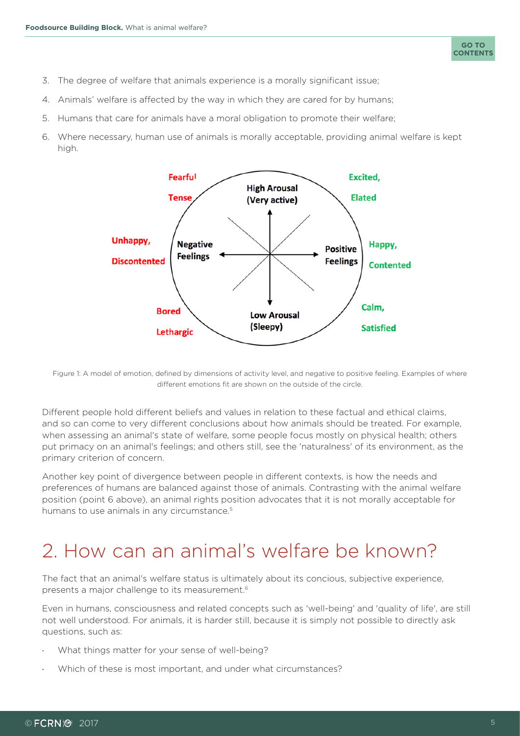- <span id="page-4-0"></span>3. The degree of welfare that animals experience is a morally significant issue;
- 4. Animals' welfare is affected by the way in which they are cared for by humans;
- 5. Humans that care for animals have a moral obligation to promote their welfare;
- 6. Where necessary, human use of animals is morally acceptable, providing animal welfare is kept high.



Figure 1: A model of emotion, defined by dimensions of activity level, and negative to positive feeling. Examples of where different emotions fit are shown on the outside of the circle.

Different people hold different beliefs and values in relation to these factual and ethical claims, and so can come to very different conclusions about how animals should be treated. For example, when assessing an animal's state of welfare, some people focus mostly on physical health; others put primacy on an animal's feelings; and others still, see the 'naturalness' of its environment, as the primary criterion of concern.

Another key point of divergence between people in different contexts, is how the needs and preferences of humans are balanced against those of animals. Contrasting with the animal welfare position (point 6 above), an animal rights position advocates that it is not morally acceptable for humans to use animals in any circumstance.<sup>5</sup>

## 2. How can an animal's welfare be known?

The fact that an animal's welfare status is ultimately about its concious, subjective experience, presents a major challenge to its measurement.6

Even in humans, consciousness and related concepts such as 'well-being' and 'quality of life', are still not well understood. For animals, it is harder still, because it is simply not possible to directly ask questions, such as:

- What things matter for your sense of well-being?
- Which of these is most important, and under what circumstances?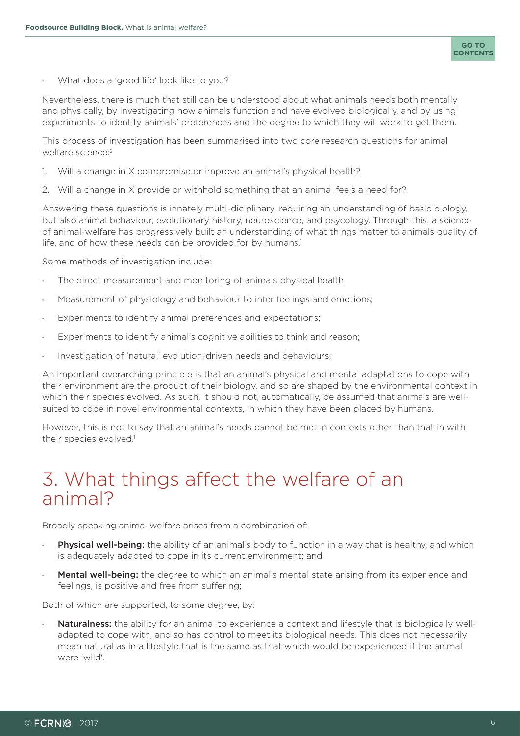<span id="page-5-0"></span>What does a 'good life' look like to you?

Nevertheless, there is much that still can be understood about what animals needs both mentally and physically, by investigating how animals function and have evolved biologically, and by using experiments to identify animals' preferences and the degree to which they will work to get them.

This process of investigation has been summarised into two core research questions for animal welfare science:<sup>2</sup>

- 1. Will a change in X compromise or improve an animal's physical health?
- 2. Will a change in X provide or withhold something that an animal feels a need for?

Answering these questions is innately multi-diciplinary, requiring an understanding of basic biology, but also animal behaviour, evolutionary history, neuroscience, and psycology. Through this, a science of animal-welfare has progressively built an understanding of what things matter to animals quality of life, and of how these needs can be provided for by humans.<sup>1</sup>

Some methods of investigation include:

- · The direct measurement and monitoring of animals physical health;
- Measurement of physiology and behaviour to infer feelings and emotions;
- Experiments to identify animal preferences and expectations;
- Experiments to identify animal's cognitive abilities to think and reason;
- · Investigation of 'natural' evolution-driven needs and behaviours;

An important overarching principle is that an animal's physical and mental adaptations to cope with their environment are the product of their biology, and so are shaped by the environmental context in which their species evolved. As such, it should not, automatically, be assumed that animals are wellsuited to cope in novel environmental contexts, in which they have been placed by humans.

However, this is not to say that an animal's needs cannot be met in contexts other than that in with their species evolved.<sup>1</sup>

#### 3. What things affect the welfare of an animal?

Broadly speaking animal welfare arises from a combination of:

- **Physical well-being:** the ability of an animal's body to function in a way that is healthy, and which is adequately adapted to cope in its current environment; and
- Mental well-being: the degree to which an animal's mental state arising from its experience and feelings, is positive and free from suffering;

Both of which are supported, to some degree, by:

Naturalness: the ability for an animal to experience a context and lifestyle that is biologically welladapted to cope with, and so has control to meet its biological needs. This does not necessarily mean natural as in a lifestyle that is the same as that which would be experienced if the animal were 'wild'.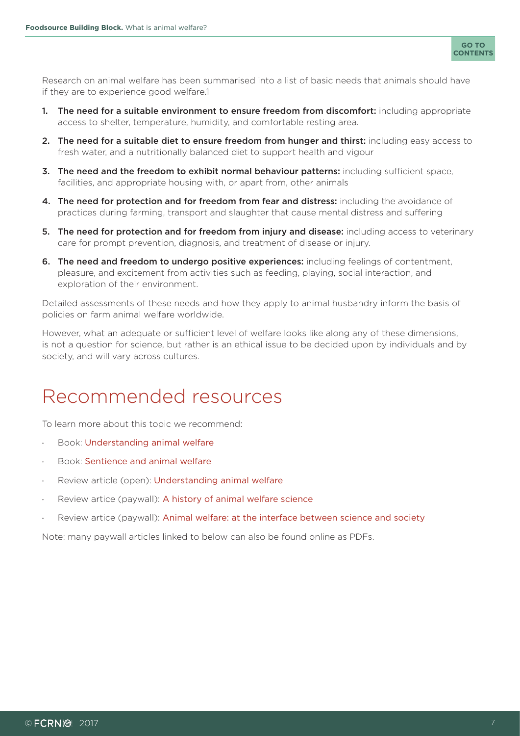

<span id="page-6-0"></span>Research on animal welfare has been summarised into a list of basic needs that animals should have if they are to experience good welfare.1

- 1. The need for a suitable environment to ensure freedom from discomfort: including appropriate access to shelter, temperature, humidity, and comfortable resting area.
- 2. The need for a suitable diet to ensure freedom from hunger and thirst: including easy access to fresh water, and a nutritionally balanced diet to support health and vigour
- 3. The need and the freedom to exhibit normal behaviour patterns: including sufficient space, facilities, and appropriate housing with, or apart from, other animals
- 4. The need for protection and for freedom from fear and distress: including the avoidance of practices during farming, transport and slaughter that cause mental distress and suffering
- 5. The need for protection and for freedom from injury and disease: including access to veterinary care for prompt prevention, diagnosis, and treatment of disease or injury.
- 6. The need and freedom to undergo positive experiences: including feelings of contentment, pleasure, and excitement from activities such as feeding, playing, social interaction, and exploration of their environment.

Detailed assessments of these needs and how they apply to animal husbandry inform the basis of policies on farm animal welfare worldwide.

However, what an adequate or sufficient level of welfare looks like along any of these dimensions, is not a question for science, but rather is an ethical issue to be decided upon by individuals and by society, and will vary across cultures.

## Recommended resources

To learn more about this topic we recommend:

- Book: [Understanding animal welfare](https://books.google.co.uk/books?id=TMR0Ea3d1KEC&printsec=frontcover&source=gbs_ge_summary_r&cad=0#v=onepage&q&f=false)
- Book: [Sentience and animal welfare](https://books.google.co.uk/books?id=81DNBAAAQBAJ&printsec=frontcover&source=gbs_ge_summary_r&cad=0#v=onepage&q&f=false)
- Review article (open): [Understanding animal welfare](https://actavetscand.biomedcentral.com/articles/10.1186/1751-0147-50-S1-S1)
- Review artice (paywall): [A history of animal welfare science](https://link.springer.com/article/10.1007%2Fs10441-011-9123-3)
- Review artice (paywall): [Animal welfare: at the interface between science and society](http://www.sciencedirect.com/science/article/pii/S1090023311002048)

Note: many paywall articles linked to below can also be found online as PDFs.